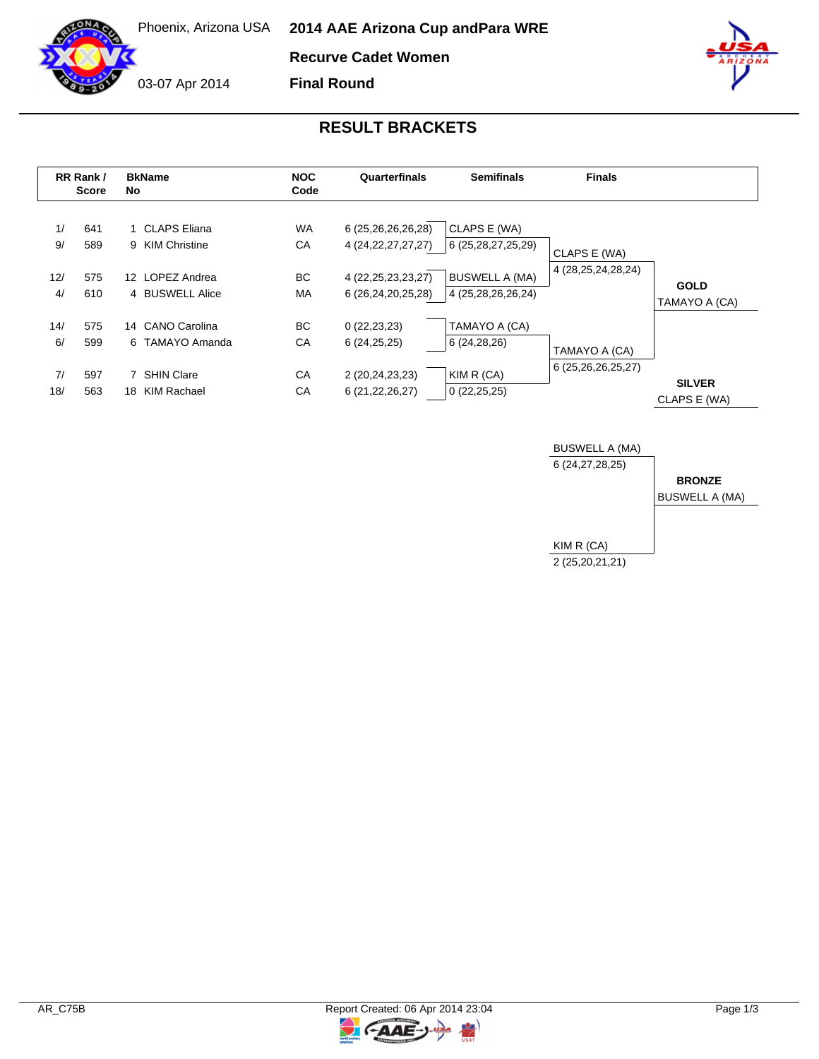

Phoenix, Arizona USA **2014 AAE Arizona Cup and Para WRE**

**Recurve Cadet Women**

03-07 Apr 2014

**Final Round**



## **RESULT BRACKETS**

|           | RR Rank /<br>Score | <b>BkName</b><br>No.                | <b>NOC</b><br>Code | Quarterfinals                                | <b>Semifinals</b>                           | <b>Finals</b>          |                               |
|-----------|--------------------|-------------------------------------|--------------------|----------------------------------------------|---------------------------------------------|------------------------|-------------------------------|
| 1/<br>9/  | 641<br>589         | 1 CLAPS Eliana<br>9 KIM Christine   | <b>WA</b><br>СA    | 6 (25,26,26,26,28)<br>4 (24, 22, 27, 27, 27) | CLAPS E (WA)<br>6 (25, 28, 27, 25, 29)      | CLAPS E (WA)           |                               |
| 12/<br>4/ | 575<br>610         | 12 LOPEZ Andrea<br>4 BUSWELL Alice  | BC.<br>MA          | 4 (22, 25, 23, 23, 27)<br>6 (26,24,20,25,28) | <b>BUSWELL A (MA)</b><br>4 (25,28,26,26,24) | 4 (28, 25, 24, 28, 24) | <b>GOLD</b><br>TAMAYO A (CA)  |
| 14/<br>6/ | 575<br>599         | 14 CANO Carolina<br>6 TAMAYO Amanda | BC.<br>СA          | 0(22, 23, 23)<br>6(24,25,25)                 | TAMAYO A (CA)<br>6 (24,28,26)               | TAMAYO A (CA)          |                               |
| 7/<br>18/ | 597<br>563         | 7 SHIN Clare<br>KIM Rachael<br>18   | CA<br>CA           | 2 (20,24,23,23)<br>6 (21, 22, 26, 27)        | KIM R (CA)<br>0(22,25,25)                   | 6 (25,26,26,25,27)     | <b>SILVER</b><br>CLAPS E (WA) |



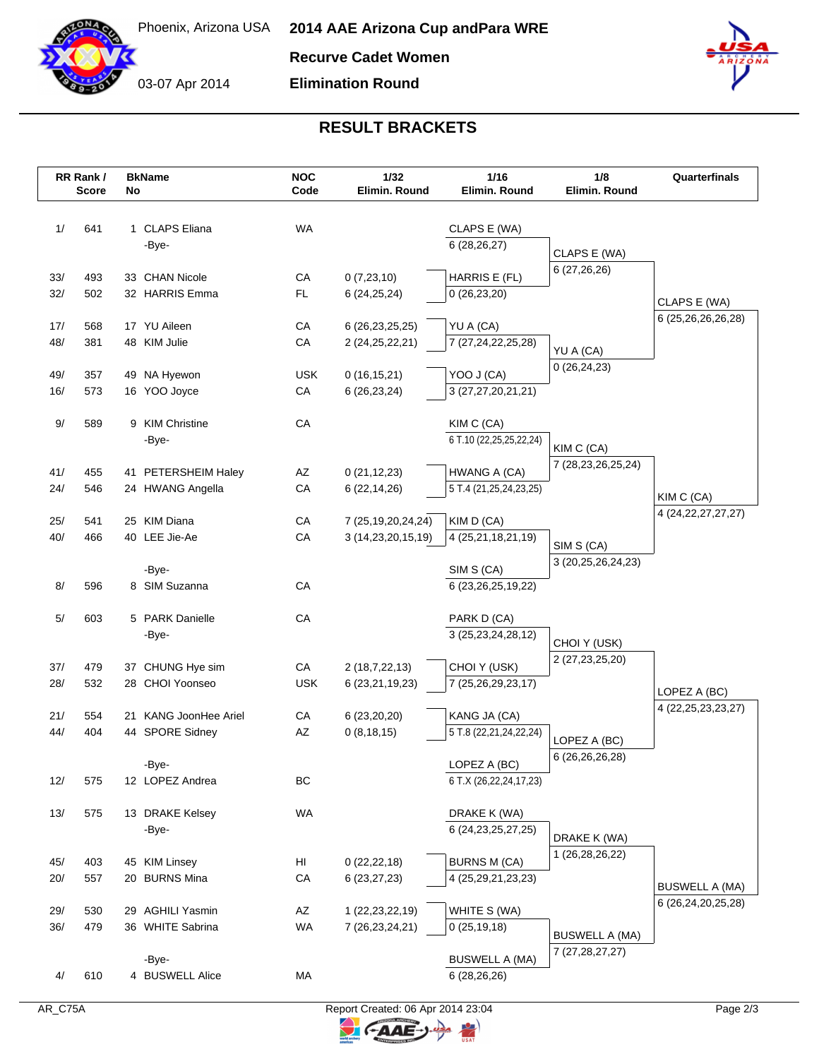

03-07 Apr 2014

**Recurve Cadet Women**

**Elimination Round**



## **RESULT BRACKETS**

|            | RR Rank /<br><b>Score</b> | No | <b>BkName</b>                 | <b>NOC</b><br>Code | 1/32<br>Elimin. Round  | 1/16<br>Elimin. Round                 | 1/8<br>Elimin. Round         | Quarterfinals          |
|------------|---------------------------|----|-------------------------------|--------------------|------------------------|---------------------------------------|------------------------------|------------------------|
|            |                           |    |                               |                    |                        |                                       |                              |                        |
| 1/         | 641                       |    | 1 CLAPS Eliana                | <b>WA</b>          |                        | CLAPS E (WA)                          |                              |                        |
|            |                           |    | -Bye-                         |                    |                        | 6(28, 26, 27)                         |                              |                        |
|            |                           |    |                               |                    |                        |                                       | CLAPS E (WA)<br>6 (27,26,26) |                        |
| 33/        | 493                       |    | 33 CHAN Nicole                | CA                 | 0(7,23,10)             | HARRIS E (FL)                         |                              |                        |
| 32/        | 502                       |    | 32 HARRIS Emma                | FL.                | 6(24, 25, 24)          | 0(26, 23, 20)                         |                              | CLAPS E (WA)           |
| 17/        | 568                       |    | 17 YU Aileen                  | CA                 | 6 (26, 23, 25, 25)     | YU A (CA)                             |                              | 6 (25,26,26,26,28)     |
| 48/        | 381                       |    | 48 KIM Julie                  | CA                 | 2 (24, 25, 22, 21)     | 7 (27, 24, 22, 25, 28)                |                              |                        |
|            |                           |    |                               |                    |                        |                                       | YU A (CA)                    |                        |
| 49/        | 357                       |    | 49 NA Hyewon                  | <b>USK</b>         | 0(16, 15, 21)          | YOO J (CA)                            | 0(26, 24, 23)                |                        |
| 16/        | 573                       |    | 16 YOO Joyce                  | CA                 | 6(26, 23, 24)          | 3 (27,27,20,21,21)                    |                              |                        |
|            |                           |    | 9 KIM Christine               |                    |                        |                                       |                              |                        |
| $9/$       | 589                       |    | -Bye-                         | CA                 |                        | KIM C (CA)<br>6 T.10 (22,25,25,22,24) |                              |                        |
|            |                           |    |                               |                    |                        |                                       | KIM C (CA)                   |                        |
| 41/        | 455                       |    | 41 PETERSHEIM Haley           | AZ                 | 0(21, 12, 23)          | HWANG A (CA)                          | 7 (28, 23, 26, 25, 24)       |                        |
| 24/        | 546                       |    | 24 HWANG Angella              | CA                 | 6(22, 14, 26)          | 5 T.4 (21,25,24,23,25)                |                              | KIM C (CA)             |
|            |                           |    |                               |                    |                        |                                       |                              | 4 (24, 22, 27, 27, 27) |
| 25/<br>40/ | 541<br>466                |    | 25 KIM Diana<br>40 LEE Jie-Ae | CA<br>CA           | 7 (25, 19, 20, 24, 24) | KIM D (CA)                            |                              |                        |
|            |                           |    |                               |                    | 3 (14,23,20,15,19)     | 4 (25,21,18,21,19)                    | SIM S (CA)                   |                        |
|            |                           |    | -Bye-                         |                    |                        | SIM S (CA)                            | 3 (20, 25, 26, 24, 23)       |                        |
| 8/         | 596                       |    | 8 SIM Suzanna                 | CA                 |                        | 6 (23, 26, 25, 19, 22)                |                              |                        |
|            |                           |    |                               |                    |                        |                                       |                              |                        |
| 5/         | 603                       |    | 5 PARK Danielle               | CA                 |                        | PARK D (CA)                           |                              |                        |
|            |                           |    | -Bye-                         |                    |                        | 3 (25, 23, 24, 28, 12)                | CHOI Y (USK)                 |                        |
| 37/        | 479                       |    | 37 CHUNG Hye sim              | CA                 | 2(18,7,22,13)          | CHOI Y (USK)                          | 2 (27, 23, 25, 20)           |                        |
| 28/        | 532                       |    | 28 CHOI Yoonseo               | <b>USK</b>         | 6 (23, 21, 19, 23)     | 7 (25,26,29,23,17)                    |                              | LOPEZ A (BC)           |
|            |                           |    |                               |                    |                        |                                       |                              | 4 (22, 25, 23, 23, 27) |
| 21/        | 554                       |    | 21 KANG JoonHee Ariel         | CA                 | 6(23,20,20)            | KANG JA (CA)                          |                              |                        |
| 44/        | 404                       |    | 44 SPORE Sidney               | AZ                 | 0(8, 18, 15)           | 5 T.8 (22,21,24,22,24)                | LOPEZ A (BC)                 |                        |
|            |                           |    | -Bye-                         |                    |                        | LOPEZ A (BC)                          | 6 (26,26,26,28)              |                        |
| 12/        | 575                       |    | 12 LOPEZ Andrea               | BC                 |                        | 6 T.X (26,22,24,17,23)                |                              |                        |
|            |                           |    |                               |                    |                        |                                       |                              |                        |
| 13/        | 575                       |    | 13 DRAKE Kelsey               | WA                 |                        | DRAKE K (WA)                          |                              |                        |
|            |                           |    | -Bye-                         |                    |                        | 6 (24, 23, 25, 27, 25)                | DRAKE K (WA)                 |                        |
| 45/        | 403                       |    | 45 KIM Linsey                 | HI                 | 0(22, 22, 18)          | <b>BURNS M (CA)</b>                   | 1 (26,28,26,22)              |                        |
| 20/        | 557                       |    | 20 BURNS Mina                 | CA                 | 6(23, 27, 23)          | 4 (25,29,21,23,23)                    |                              |                        |
|            |                           |    |                               |                    |                        |                                       |                              | <b>BUSWELL A (MA)</b>  |
| 29/        | 530                       |    | 29 AGHILI Yasmin              | AZ                 | 1 (22, 23, 22, 19)     | WHITE S (WA)                          |                              | 6 (26,24,20,25,28)     |
| 36/        | 479                       |    | 36 WHITE Sabrina              | WA                 | 7 (26, 23, 24, 21)     | 0(25, 19, 18)                         | <b>BUSWELL A (MA)</b>        |                        |
|            |                           |    |                               |                    |                        |                                       | 7 (27, 28, 27, 27)           |                        |
|            |                           |    | -Bye-                         |                    |                        | <b>BUSWELL A (MA)</b>                 |                              |                        |
| 4/         | 610                       |    | 4 BUSWELL Alice               | МA                 |                        | 6(28, 26, 26)                         |                              |                        |